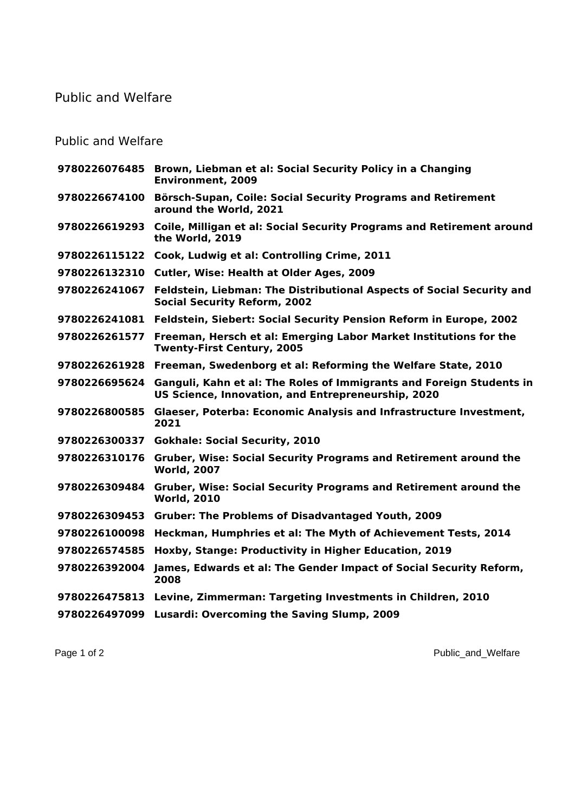## Public and Welfare

## Public and Welfare

|               | 9780226076485 Brown, Liebman et al: Social Security Policy in a Changing<br><b>Environment, 2009</b>                       |
|---------------|----------------------------------------------------------------------------------------------------------------------------|
| 9780226674100 | Börsch-Supan, Coile: Social Security Programs and Retirement<br>around the World, 2021                                     |
| 9780226619293 | Coile, Milligan et al: Social Security Programs and Retirement around<br>the World, 2019                                   |
| 9780226115122 | Cook, Ludwig et al: Controlling Crime, 2011                                                                                |
| 9780226132310 | <b>Cutler, Wise: Health at Older Ages, 2009</b>                                                                            |
| 9780226241067 | Feldstein, Liebman: The Distributional Aspects of Social Security and<br><b>Social Security Reform, 2002</b>               |
| 9780226241081 | Feldstein, Siebert: Social Security Pension Reform in Europe, 2002                                                         |
| 9780226261577 | Freeman, Hersch et al: Emerging Labor Market Institutions for the<br><b>Twenty-First Century, 2005</b>                     |
|               | 9780226261928 Freeman, Swedenborg et al: Reforming the Welfare State, 2010                                                 |
| 9780226695624 | Ganguli, Kahn et al: The Roles of Immigrants and Foreign Students in<br>US Science, Innovation, and Entrepreneurship, 2020 |
| 9780226800585 | Glaeser, Poterba: Economic Analysis and Infrastructure Investment,<br>2021                                                 |
| 9780226300337 | <b>Gokhale: Social Security, 2010</b>                                                                                      |
| 9780226310176 | <b>Gruber, Wise: Social Security Programs and Retirement around the</b><br><b>World, 2007</b>                              |
| 9780226309484 | Gruber, Wise: Social Security Programs and Retirement around the<br><b>World, 2010</b>                                     |
| 9780226309453 | <b>Gruber: The Problems of Disadvantaged Youth, 2009</b>                                                                   |
| 9780226100098 | Heckman, Humphries et al: The Myth of Achievement Tests, 2014                                                              |
| 9780226574585 | Hoxby, Stange: Productivity in Higher Education, 2019                                                                      |
| 9780226392004 | James, Edwards et al: The Gender Impact of Social Security Reform,<br>2008                                                 |
| 9780226475813 | Levine, Zimmerman: Targeting Investments in Children, 2010                                                                 |
| 9780226497099 | <b>Lusardi: Overcoming the Saving Slump, 2009</b>                                                                          |
|               |                                                                                                                            |

Page 1 of 2 Public\_and\_Welfare